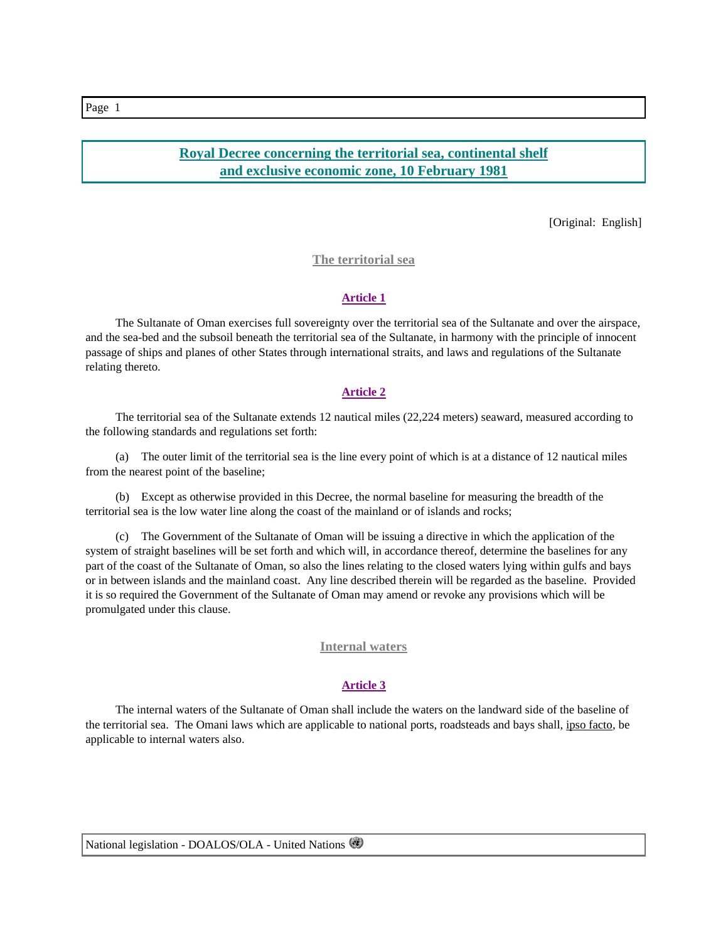# **Royal Decree concerning the territorial sea, continental shelf and exclusive economic zone, 10 February 1981**

[Original: English]

### **The territorial sea**

#### **Article 1**

 The Sultanate of Oman exercises full sovereignty over the territorial sea of the Sultanate and over the airspace, and the sea-bed and the subsoil beneath the territorial sea of the Sultanate, in harmony with the principle of innocent passage of ships and planes of other States through international straits, and laws and regulations of the Sultanate relating thereto.

### **Article 2**

 The territorial sea of the Sultanate extends 12 nautical miles (22,224 meters) seaward, measured according to the following standards and regulations set forth:

 (a) The outer limit of the territorial sea is the line every point of which is at a distance of 12 nautical miles from the nearest point of the baseline;

 (b) Except as otherwise provided in this Decree, the normal baseline for measuring the breadth of the territorial sea is the low water line along the coast of the mainland or of islands and rocks;

 (c) The Government of the Sultanate of Oman will be issuing a directive in which the application of the system of straight baselines will be set forth and which will, in accordance thereof, determine the baselines for any part of the coast of the Sultanate of Oman, so also the lines relating to the closed waters lying within gulfs and bays or in between islands and the mainland coast. Any line described therein will be regarded as the baseline. Provided it is so required the Government of the Sultanate of Oman may amend or revoke any provisions which will be promulgated under this clause.

### **Internal waters**

## **Article 3**

 The internal waters of the Sultanate of Oman shall include the waters on the landward side of the baseline of the territorial sea. The Omani laws which are applicable to national ports, roadsteads and bays shall, ipso facto, be applicable to internal waters also.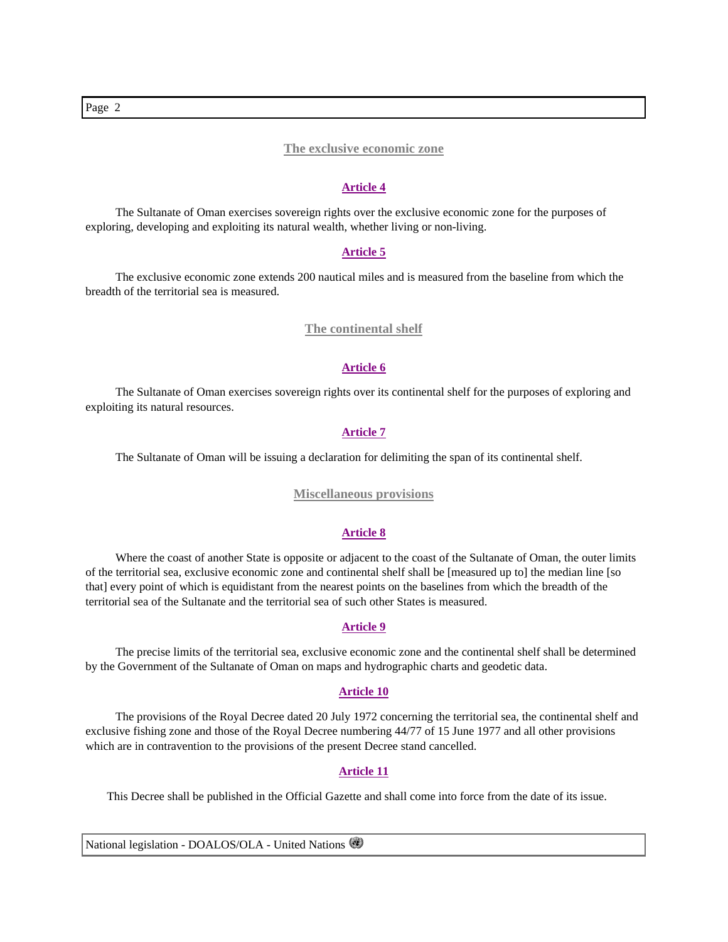### **The exclusive economic zone**

#### **Article 4**

 The Sultanate of Oman exercises sovereign rights over the exclusive economic zone for the purposes of exploring, developing and exploiting its natural wealth, whether living or non-living.

### **Article 5**

 The exclusive economic zone extends 200 nautical miles and is measured from the baseline from which the breadth of the territorial sea is measured.

### **The continental shelf**

### **Article 6**

 The Sultanate of Oman exercises sovereign rights over its continental shelf for the purposes of exploring and exploiting its natural resources.

### **Article 7**

The Sultanate of Oman will be issuing a declaration for delimiting the span of its continental shelf.

#### **Miscellaneous provisions**

#### **Article 8**

Where the coast of another State is opposite or adjacent to the coast of the Sultanate of Oman, the outer limits of the territorial sea, exclusive economic zone and continental shelf shall be [measured up to] the median line [so that] every point of which is equidistant from the nearest points on the baselines from which the breadth of the territorial sea of the Sultanate and the territorial sea of such other States is measured.

### **Article 9**

 The precise limits of the territorial sea, exclusive economic zone and the continental shelf shall be determined by the Government of the Sultanate of Oman on maps and hydrographic charts and geodetic data.

### **Article 10**

 The provisions of the Royal Decree dated 20 July 1972 concerning the territorial sea, the continental shelf and exclusive fishing zone and those of the Royal Decree numbering 44/77 of 15 June 1977 and all other provisions which are in contravention to the provisions of the present Decree stand cancelled.

#### **Article 11**

This Decree shall be published in the Official Gazette and shall come into force from the date of its issue.

National legislation - DOALOS/OLA - United Nations